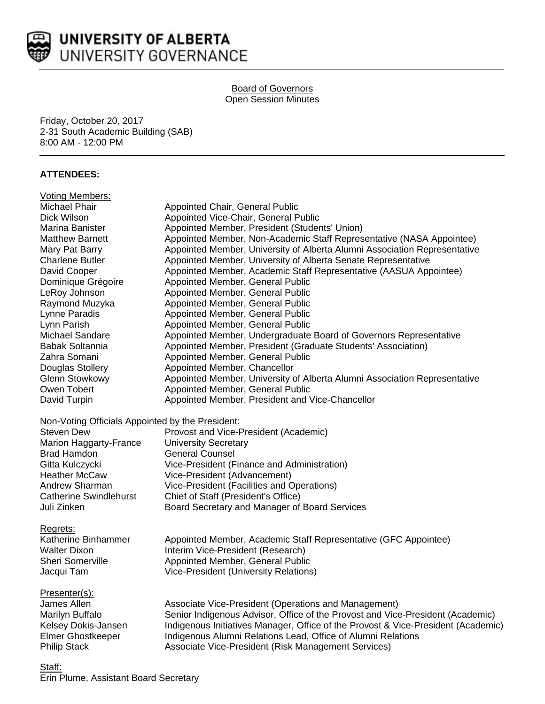

### Board of Governors Open Session Minutes

Friday, October 20, 2017 2-31 South Academic Building (SAB) 8:00 AM - 12:00 PM

### **ATTENDEES:**

| <b>Voting Members:</b>                           |                                                                                   |
|--------------------------------------------------|-----------------------------------------------------------------------------------|
| <b>Michael Phair</b>                             | Appointed Chair, General Public                                                   |
| Dick Wilson                                      | Appointed Vice-Chair, General Public                                              |
| Marina Banister                                  | Appointed Member, President (Students' Union)                                     |
| <b>Matthew Barnett</b>                           | Appointed Member, Non-Academic Staff Representative (NASA Appointee)              |
| Mary Pat Barry                                   | Appointed Member, University of Alberta Alumni Association Representative         |
| <b>Charlene Butler</b>                           | Appointed Member, University of Alberta Senate Representative                     |
| David Cooper                                     | Appointed Member, Academic Staff Representative (AASUA Appointee)                 |
| Dominique Grégoire                               | Appointed Member, General Public                                                  |
| LeRoy Johnson                                    | Appointed Member, General Public                                                  |
| Raymond Muzyka                                   | Appointed Member, General Public                                                  |
| Lynne Paradis                                    | Appointed Member, General Public                                                  |
| Lynn Parish                                      | Appointed Member, General Public                                                  |
| Michael Sandare                                  | Appointed Member, Undergraduate Board of Governors Representative                 |
| <b>Babak Soltannia</b>                           | Appointed Member, President (Graduate Students' Association)                      |
| Zahra Somani                                     | Appointed Member, General Public                                                  |
| Douglas Stollery                                 | Appointed Member, Chancellor                                                      |
| <b>Glenn Stowkowy</b>                            | Appointed Member, University of Alberta Alumni Association Representative         |
| Owen Tobert                                      | Appointed Member, General Public                                                  |
| David Turpin                                     | Appointed Member, President and Vice-Chancellor                                   |
| Non-Voting Officials Appointed by the President: |                                                                                   |
| <b>Steven Dew</b>                                | Provost and Vice-President (Academic)                                             |
| Marion Haggarty-France                           | <b>University Secretary</b>                                                       |
| <b>Brad Hamdon</b>                               | <b>General Counsel</b>                                                            |
| Gitta Kulczycki                                  | Vice-President (Finance and Administration)                                       |
| <b>Heather McCaw</b>                             | Vice-President (Advancement)                                                      |
| Andrew Sharman                                   | Vice-President (Facilities and Operations)                                        |
| <b>Catherine Swindlehurst</b>                    | Chief of Staff (President's Office)                                               |
| Juli Zinken                                      | Board Secretary and Manager of Board Services                                     |
| Regrets:                                         |                                                                                   |
| Katherine Binhammer                              | Appointed Member, Academic Staff Representative (GFC Appointee)                   |
| <b>Walter Dixon</b>                              | Interim Vice-President (Research)                                                 |
| <b>Sheri Somerville</b>                          | Appointed Member, General Public                                                  |
| Jacqui Tam                                       | Vice-President (University Relations)                                             |
| Presenter(s):                                    |                                                                                   |
| James Allen                                      | Associate Vice-President (Operations and Management)                              |
| Marilyn Buffalo                                  | Senior Indigenous Advisor, Office of the Provost and Vice-President (Academic)    |
| Kelsey Dokis-Jansen                              | Indigenous Initiatives Manager, Office of the Provost & Vice-President (Academic) |
| <b>Elmer Ghostkeeper</b>                         | Indigenous Alumni Relations Lead, Office of Alumni Relations                      |
| <b>Philip Stack</b>                              | Associate Vice-President (Risk Management Services)                               |
| Staff:                                           |                                                                                   |

Erin Plume, Assistant Board Secretary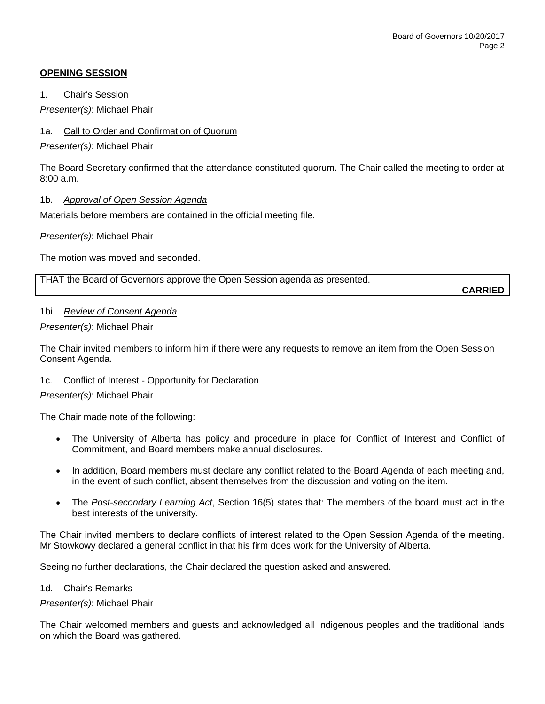## **OPENING SESSION**

1. Chair's Session

*Presenter(s)*: Michael Phair

# 1a. Call to Order and Confirmation of Quorum

*Presenter(s)*: Michael Phair

The Board Secretary confirmed that the attendance constituted quorum. The Chair called the meeting to order at 8:00 a.m.

## 1b. *Approval of Open Session Agenda*

Materials before members are contained in the official meeting file.

*Presenter(s)*: Michael Phair

The motion was moved and seconded.

THAT the Board of Governors approve the Open Session agenda as presented.

**CARRIED**

## 1bi *Review of Consent Agenda*

## *Presenter(s)*: Michael Phair

The Chair invited members to inform him if there were any requests to remove an item from the Open Session Consent Agenda.

## 1c. Conflict of Interest - Opportunity for Declaration

## *Presenter(s)*: Michael Phair

The Chair made note of the following:

- The University of Alberta has policy and procedure in place for Conflict of Interest and Conflict of Commitment, and Board members make annual disclosures.
- In addition, Board members must declare any conflict related to the Board Agenda of each meeting and, in the event of such conflict, absent themselves from the discussion and voting on the item.
- The *Post-secondary Learning Act*, Section 16(5) states that: The members of the board must act in the best interests of the university.

The Chair invited members to declare conflicts of interest related to the Open Session Agenda of the meeting. Mr Stowkowy declared a general conflict in that his firm does work for the University of Alberta.

Seeing no further declarations, the Chair declared the question asked and answered.

## 1d. Chair's Remarks

*Presenter(s)*: Michael Phair

The Chair welcomed members and guests and acknowledged all Indigenous peoples and the traditional lands on which the Board was gathered.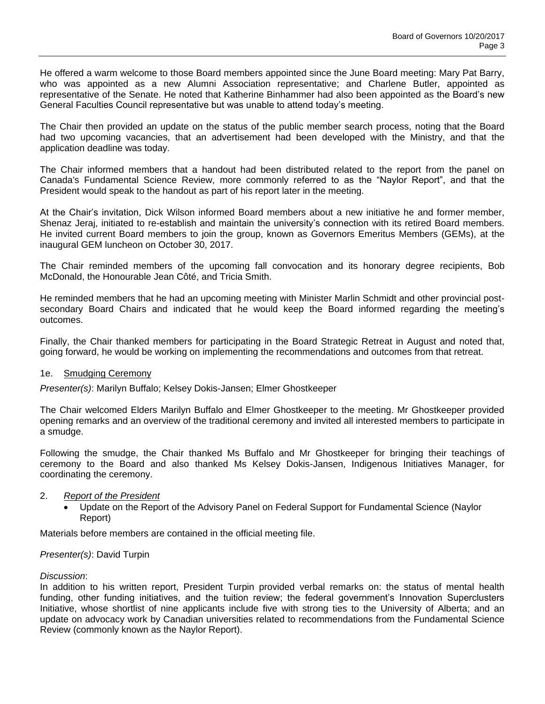He offered a warm welcome to those Board members appointed since the June Board meeting: Mary Pat Barry, who was appointed as a new Alumni Association representative; and Charlene Butler, appointed as representative of the Senate. He noted that Katherine Binhammer had also been appointed as the Board's new General Faculties Council representative but was unable to attend today's meeting.

The Chair then provided an update on the status of the public member search process, noting that the Board had two upcoming vacancies, that an advertisement had been developed with the Ministry, and that the application deadline was today.

The Chair informed members that a handout had been distributed related to the report from the panel on Canada's Fundamental Science Review, more commonly referred to as the "Naylor Report", and that the President would speak to the handout as part of his report later in the meeting.

At the Chair's invitation, Dick Wilson informed Board members about a new initiative he and former member, Shenaz Jeraj, initiated to re-establish and maintain the university's connection with its retired Board members. He invited current Board members to join the group, known as Governors Emeritus Members (GEMs), at the inaugural GEM luncheon on October 30, 2017.

The Chair reminded members of the upcoming fall convocation and its honorary degree recipients, Bob McDonald, the Honourable Jean Côté, and Tricia Smith.

He reminded members that he had an upcoming meeting with Minister Marlin Schmidt and other provincial postsecondary Board Chairs and indicated that he would keep the Board informed regarding the meeting's outcomes.

Finally, the Chair thanked members for participating in the Board Strategic Retreat in August and noted that, going forward, he would be working on implementing the recommendations and outcomes from that retreat.

#### 1e. Smudging Ceremony

*Presenter(s)*: Marilyn Buffalo; Kelsey Dokis-Jansen; Elmer Ghostkeeper

The Chair welcomed Elders Marilyn Buffalo and Elmer Ghostkeeper to the meeting. Mr Ghostkeeper provided opening remarks and an overview of the traditional ceremony and invited all interested members to participate in a smudge.

Following the smudge, the Chair thanked Ms Buffalo and Mr Ghostkeeper for bringing their teachings of ceremony to the Board and also thanked Ms Kelsey Dokis-Jansen, Indigenous Initiatives Manager, for coordinating the ceremony.

## 2. *Report of the President*

 Update on the Report of the Advisory Panel on Federal Support for Fundamental Science (Naylor Report)

Materials before members are contained in the official meeting file.

## *Presenter(s)*: David Turpin

#### *Discussion*:

In addition to his written report, President Turpin provided verbal remarks on: the status of mental health funding, other funding initiatives, and the tuition review; the federal government's Innovation Superclusters Initiative, whose shortlist of nine applicants include five with strong ties to the University of Alberta; and an update on advocacy work by Canadian universities related to recommendations from the Fundamental Science Review (commonly known as the Naylor Report).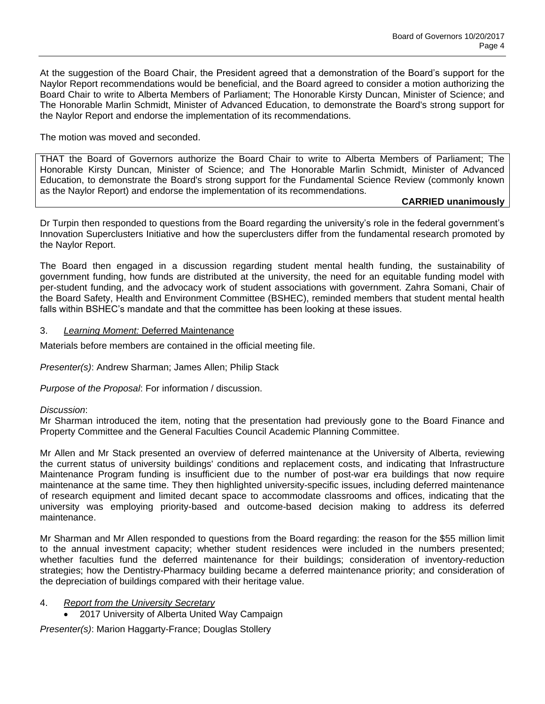At the suggestion of the Board Chair, the President agreed that a demonstration of the Board's support for the Naylor Report recommendations would be beneficial, and the Board agreed to consider a motion authorizing the Board Chair to write to Alberta Members of Parliament; The Honorable Kirsty Duncan, Minister of Science; and The Honorable Marlin Schmidt, Minister of Advanced Education, to demonstrate the Board's strong support for the Naylor Report and endorse the implementation of its recommendations.

## The motion was moved and seconded.

THAT the Board of Governors authorize the Board Chair to write to Alberta Members of Parliament; The Honorable Kirsty Duncan, Minister of Science; and The Honorable Marlin Schmidt, Minister of Advanced Education, to demonstrate the Board's strong support for the Fundamental Science Review (commonly known as the Naylor Report) and endorse the implementation of its recommendations.

#### **CARRIED unanimously**

Dr Turpin then responded to questions from the Board regarding the university's role in the federal government's Innovation Superclusters Initiative and how the superclusters differ from the fundamental research promoted by the Naylor Report.

The Board then engaged in a discussion regarding student mental health funding, the sustainability of government funding, how funds are distributed at the university, the need for an equitable funding model with per-student funding, and the advocacy work of student associations with government. Zahra Somani, Chair of the Board Safety, Health and Environment Committee (BSHEC), reminded members that student mental health falls within BSHEC's mandate and that the committee has been looking at these issues.

#### 3. *Learning Moment:* Deferred Maintenance

Materials before members are contained in the official meeting file.

*Presenter(s)*: Andrew Sharman; James Allen; Philip Stack

*Purpose of the Proposal*: For information / discussion.

#### *Discussion*:

Mr Sharman introduced the item, noting that the presentation had previously gone to the Board Finance and Property Committee and the General Faculties Council Academic Planning Committee.

Mr Allen and Mr Stack presented an overview of deferred maintenance at the University of Alberta, reviewing the current status of university buildings' conditions and replacement costs, and indicating that Infrastructure Maintenance Program funding is insufficient due to the number of post-war era buildings that now require maintenance at the same time. They then highlighted university-specific issues, including deferred maintenance of research equipment and limited decant space to accommodate classrooms and offices, indicating that the university was employing priority-based and outcome-based decision making to address its deferred maintenance.

Mr Sharman and Mr Allen responded to questions from the Board regarding: the reason for the \$55 million limit to the annual investment capacity; whether student residences were included in the numbers presented; whether faculties fund the deferred maintenance for their buildings; consideration of inventory-reduction strategies; how the Dentistry-Pharmacy building became a deferred maintenance priority; and consideration of the depreciation of buildings compared with their heritage value.

#### 4. *Report from the University Secretary*

2017 University of Alberta United Way Campaign

*Presenter(s)*: Marion Haggarty-France; Douglas Stollery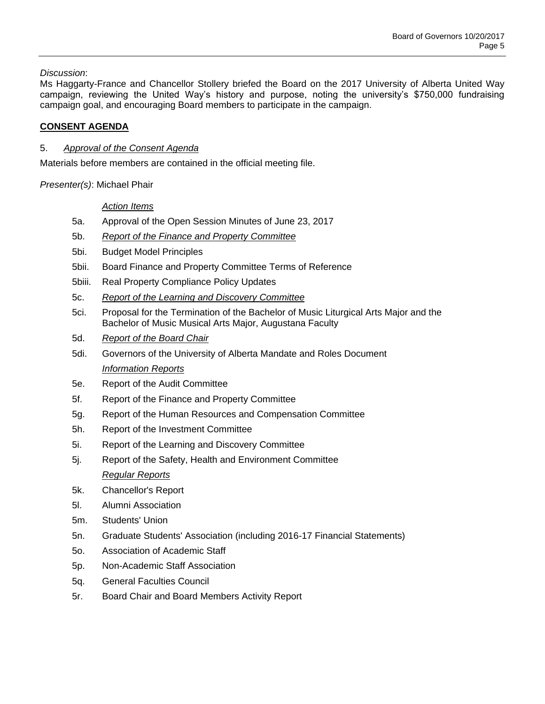*Discussion*:

Ms Haggarty-France and Chancellor Stollery briefed the Board on the 2017 University of Alberta United Way campaign, reviewing the United Way's history and purpose, noting the university's \$750,000 fundraising campaign goal, and encouraging Board members to participate in the campaign.

# **CONSENT AGENDA**

## 5. *Approval of the Consent Agenda*

Materials before members are contained in the official meeting file.

*Presenter(s)*: Michael Phair

## *Action Items*

- 5a. Approval of the Open Session Minutes of June 23, 2017
- 5b. *Report of the Finance and Property Committee*
- 5bi. Budget Model Principles
- 5bii. Board Finance and Property Committee Terms of Reference
- 5biii. Real Property Compliance Policy Updates
- 5c. *Report of the Learning and Discovery Committee*
- 5ci. Proposal for the Termination of the Bachelor of Music Liturgical Arts Major and the Bachelor of Music Musical Arts Major, Augustana Faculty
- 5d. *Report of the Board Chair*
- 5di. Governors of the University of Alberta Mandate and Roles Document *Information Reports*
- 5e. Report of the Audit Committee
- 5f. Report of the Finance and Property Committee
- 5g. Report of the Human Resources and Compensation Committee
- 5h. Report of the Investment Committee
- 5i. Report of the Learning and Discovery Committee
- 5j. Report of the Safety, Health and Environment Committee *Regular Reports*
- 5k. Chancellor's Report
- 5l. Alumni Association
- 5m. Students' Union
- 5n. Graduate Students' Association (including 2016-17 Financial Statements)
- 5o. Association of Academic Staff
- 5p. Non-Academic Staff Association
- 5q. General Faculties Council
- 5r. Board Chair and Board Members Activity Report